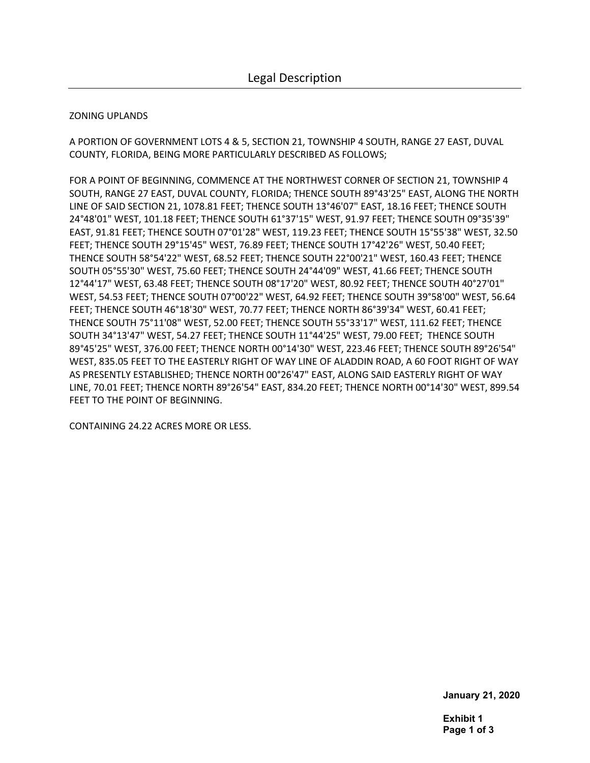## ZONING UPLANDS

A PORTION OF GOVERNMENT LOTS 4 & 5, SECTION 21, TOWNSHIP 4 SOUTH, RANGE 27 EAST, DUVAL COUNTY, FLORIDA, BEING MORE PARTICULARLY DESCRIBED AS FOLLOWS;

FOR A POINT OF BEGINNING, COMMENCE AT THE NORTHWEST CORNER OF SECTION 21, TOWNSHIP 4 SOUTH, RANGE 27 EAST, DUVAL COUNTY, FLORIDA; THENCE SOUTH 89°43'25" EAST, ALONG THE NORTH LINE OF SAID SECTION 21, 1078.81 FEET; THENCE SOUTH 13°46'07" EAST, 18.16 FEET; THENCE SOUTH 24°48'01" WEST, 101.18 FEET; THENCE SOUTH 61°37'15" WEST, 91.97 FEET; THENCE SOUTH 09°35'39" EAST, 91.81 FEET; THENCE SOUTH 07°01'28" WEST, 119.23 FEET; THENCE SOUTH 15°55'38" WEST, 32.50 FEET; THENCE SOUTH 29°15'45" WEST, 76.89 FEET; THENCE SOUTH 17°42'26" WEST, 50.40 FEET; THENCE SOUTH 58°54'22" WEST, 68.52 FEET; THENCE SOUTH 22°00'21" WEST, 160.43 FEET; THENCE SOUTH 05°55'30" WEST, 75.60 FEET; THENCE SOUTH 24°44'09" WEST, 41.66 FEET; THENCE SOUTH 12°44'17" WEST, 63.48 FEET; THENCE SOUTH 08°17'20" WEST, 80.92 FEET; THENCE SOUTH 40°27'01" WEST, 54.53 FEET; THENCE SOUTH 07°00'22" WEST, 64.92 FEET; THENCE SOUTH 39°58'00" WEST, 56.64 FEET; THENCE SOUTH 46°18'30" WEST, 70.77 FEET; THENCE NORTH 86°39'34" WEST, 60.41 FEET; THENCE SOUTH 75°11'08" WEST, 52.00 FEET; THENCE SOUTH 55°33'17" WEST, 111.62 FEET; THENCE SOUTH 34°13'47" WEST, 54.27 FEET; THENCE SOUTH 11°44'25" WEST, 79.00 FEET; THENCE SOUTH 89°45'25" WEST, 376.00 FEET; THENCE NORTH 00°14'30" WEST, 223.46 FEET; THENCE SOUTH 89°26'54" WEST, 835.05 FEET TO THE EASTERLY RIGHT OF WAY LINE OF ALADDIN ROAD, A 60 FOOT RIGHT OF WAY AS PRESENTLY ESTABLISHED; THENCE NORTH 00°26'47" EAST, ALONG SAID EASTERLY RIGHT OF WAY LINE, 70.01 FEET; THENCE NORTH 89°26'54" EAST, 834.20 FEET; THENCE NORTH 00°14'30" WEST, 899.54 FEET TO THE POINT OF BEGINNING.

CONTAINING 24.22 ACRES MORE OR LESS.

**January 21, 2020** 

**Exhibit 1 Page 1 of 3**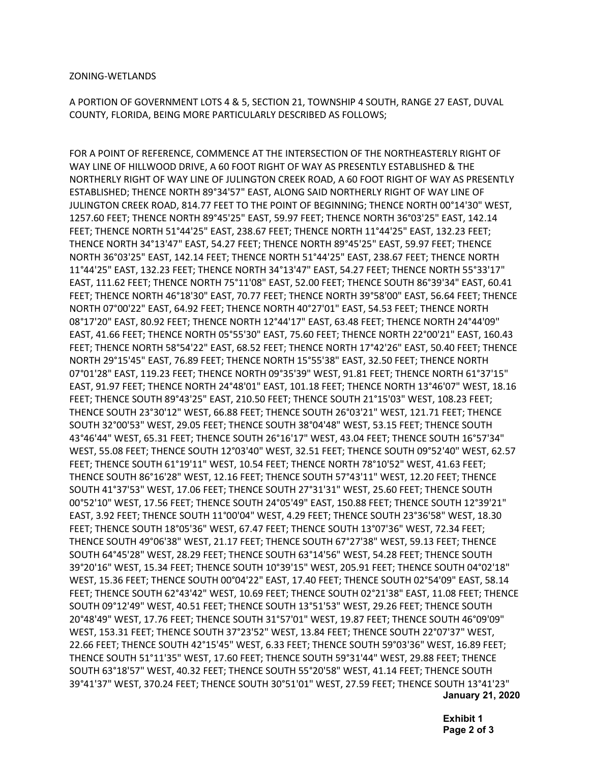## ZONING-WETLANDS

A PORTION OF GOVERNMENT LOTS 4 & 5, SECTION 21, TOWNSHIP 4 SOUTH, RANGE 27 EAST, DUVAL COUNTY, FLORIDA, BEING MORE PARTICULARLY DESCRIBED AS FOLLOWS;

FOR A POINT OF REFERENCE, COMMENCE AT THE INTERSECTION OF THE NORTHEASTERLY RIGHT OF WAY LINE OF HILLWOOD DRIVE, A 60 FOOT RIGHT OF WAY AS PRESENTLY ESTABLISHED & THE NORTHERLY RIGHT OF WAY LINE OF JULINGTON CREEK ROAD, A 60 FOOT RIGHT OF WAY AS PRESENTLY ESTABLISHED; THENCE NORTH 89°34'57" EAST, ALONG SAID NORTHERLY RIGHT OF WAY LINE OF JULINGTON CREEK ROAD, 814.77 FEET TO THE POINT OF BEGINNING; THENCE NORTH 00°14'30" WEST, 1257.60 FEET; THENCE NORTH 89°45'25" EAST, 59.97 FEET; THENCE NORTH 36°03'25" EAST, 142.14 FEET; THENCE NORTH 51°44'25" EAST, 238.67 FEET; THENCE NORTH 11°44'25" EAST, 132.23 FEET; THENCE NORTH 34°13'47" EAST, 54.27 FEET; THENCE NORTH 89°45'25" EAST, 59.97 FEET; THENCE NORTH 36°03'25" EAST, 142.14 FEET; THENCE NORTH 51°44'25" EAST, 238.67 FEET; THENCE NORTH 11°44'25" EAST, 132.23 FEET; THENCE NORTH 34°13'47" EAST, 54.27 FEET; THENCE NORTH 55°33'17" EAST, 111.62 FEET; THENCE NORTH 75°11'08" EAST, 52.00 FEET; THENCE SOUTH 86°39'34" EAST, 60.41 FEET; THENCE NORTH 46°18'30" EAST, 70.77 FEET; THENCE NORTH 39°58'00" EAST, 56.64 FEET; THENCE NORTH 07°00'22" EAST, 64.92 FEET; THENCE NORTH 40°27'01" EAST, 54.53 FEET; THENCE NORTH 08°17'20" EAST, 80.92 FEET; THENCE NORTH 12°44'17" EAST, 63.48 FEET; THENCE NORTH 24°44'09" EAST, 41.66 FEET; THENCE NORTH 05°55'30" EAST, 75.60 FEET; THENCE NORTH 22°00'21" EAST, 160.43 FEET; THENCE NORTH 58°54'22" EAST, 68.52 FEET; THENCE NORTH 17°42'26" EAST, 50.40 FEET; THENCE NORTH 29°15'45" EAST, 76.89 FEET; THENCE NORTH 15°55'38" EAST, 32.50 FEET; THENCE NORTH 07°01'28" EAST, 119.23 FEET; THENCE NORTH 09°35'39" WEST, 91.81 FEET; THENCE NORTH 61°37'15" EAST, 91.97 FEET; THENCE NORTH 24°48'01" EAST, 101.18 FEET; THENCE NORTH 13°46'07" WEST, 18.16 FEET; THENCE SOUTH 89°43'25" EAST, 210.50 FEET; THENCE SOUTH 21°15'03" WEST, 108.23 FEET; THENCE SOUTH 23°30'12" WEST, 66.88 FEET; THENCE SOUTH 26°03'21" WEST, 121.71 FEET; THENCE SOUTH 32°00'53" WEST, 29.05 FEET; THENCE SOUTH 38°04'48" WEST, 53.15 FEET; THENCE SOUTH 43°46'44" WEST, 65.31 FEET; THENCE SOUTH 26°16'17" WEST, 43.04 FEET; THENCE SOUTH 16°57'34" WEST, 55.08 FEET; THENCE SOUTH 12°03'40" WEST, 32.51 FEET; THENCE SOUTH 09°52'40" WEST, 62.57 FEET; THENCE SOUTH 61°19'11" WEST, 10.54 FEET; THENCE NORTH 78°10'52" WEST, 41.63 FEET; THENCE SOUTH 86°16'28" WEST, 12.16 FEET; THENCE SOUTH 57°43'11" WEST, 12.20 FEET; THENCE SOUTH 41°37'53" WEST, 17.06 FEET; THENCE SOUTH 27°31'31" WEST, 25.60 FEET; THENCE SOUTH 00°52'10" WEST, 17.56 FEET; THENCE SOUTH 24°05'49" EAST, 150.88 FEET; THENCE SOUTH 12°39'21" EAST, 3.92 FEET; THENCE SOUTH 11°00'04" WEST, 4.29 FEET; THENCE SOUTH 23°36'58" WEST, 18.30 FEET; THENCE SOUTH 18°05'36" WEST, 67.47 FEET; THENCE SOUTH 13°07'36" WEST, 72.34 FEET; THENCE SOUTH 49°06'38" WEST, 21.17 FEET; THENCE SOUTH 67°27'38" WEST, 59.13 FEET; THENCE SOUTH 64°45'28" WEST, 28.29 FEET; THENCE SOUTH 63°14'56" WEST, 54.28 FEET; THENCE SOUTH 39°20'16" WEST, 15.34 FEET; THENCE SOUTH 10°39'15" WEST, 205.91 FEET; THENCE SOUTH 04°02'18" WEST, 15.36 FEET; THENCE SOUTH 00°04'22" EAST, 17.40 FEET; THENCE SOUTH 02°54'09" EAST, 58.14 FEET; THENCE SOUTH 62°43'42" WEST, 10.69 FEET; THENCE SOUTH 02°21'38" EAST, 11.08 FEET; THENCE SOUTH 09°12'49" WEST, 40.51 FEET; THENCE SOUTH 13°51'53" WEST, 29.26 FEET; THENCE SOUTH 20°48'49" WEST, 17.76 FEET; THENCE SOUTH 31°57'01" WEST, 19.87 FEET; THENCE SOUTH 46°09'09" WEST, 153.31 FEET; THENCE SOUTH 37°23'52" WEST, 13.84 FEET; THENCE SOUTH 22°07'37" WEST, 22.66 FEET; THENCE SOUTH 42°15'45" WEST, 6.33 FEET; THENCE SOUTH 59°03'36" WEST, 16.89 FEET; THENCE SOUTH 51°11'35" WEST, 17.60 FEET; THENCE SOUTH 59°31'44" WEST, 29.88 FEET; THENCE SOUTH 63°18'57" WEST, 40.32 FEET; THENCE SOUTH 55°20'58" WEST, 41.14 FEET; THENCE SOUTH 39°41'37" WEST, 370.24 FEET; THENCE SOUTH 30°51'01" WEST, 27.59 FEET; THENCE SOUTH 13°41'23" **January 21, 2020** 

> **Exhibit 1 Page 2 of 3**